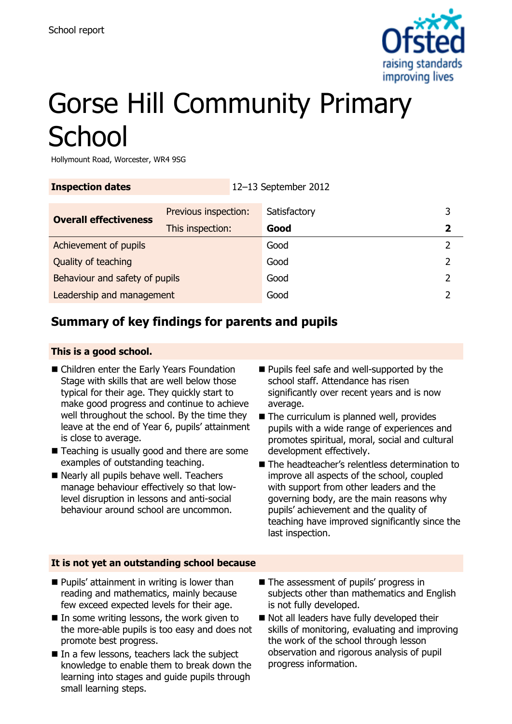

# Gorse Hill Community Primary **School**

Hollymount Road, Worcester, WR4 9SG

| <b>Inspection dates</b>        | 12-13 September 2012 |  |              |   |
|--------------------------------|----------------------|--|--------------|---|
| <b>Overall effectiveness</b>   | Previous inspection: |  | Satisfactory | 3 |
|                                | This inspection:     |  | Good         | 2 |
| Achievement of pupils          |                      |  | Good         |   |
| Quality of teaching            |                      |  | Good         |   |
| Behaviour and safety of pupils |                      |  | Good         | 2 |
| Leadership and management      |                      |  | Good         |   |

## **Summary of key findings for parents and pupils**

#### **This is a good school.**

- Children enter the Early Years Foundation Stage with skills that are well below those typical for their age. They quickly start to make good progress and continue to achieve well throughout the school. By the time they leave at the end of Year 6, pupils' attainment is close to average.
- Teaching is usually good and there are some examples of outstanding teaching.
- Nearly all pupils behave well. Teachers manage behaviour effectively so that lowlevel disruption in lessons and anti-social behaviour around school are uncommon.
- **Pupils feel safe and well-supported by the** school staff. Attendance has risen significantly over recent years and is now average.
- The curriculum is planned well, provides pupils with a wide range of experiences and promotes spiritual, moral, social and cultural development effectively.
- The headteacher's relentless determination to improve all aspects of the school, coupled with support from other leaders and the governing body, are the main reasons why pupils' achievement and the quality of teaching have improved significantly since the last inspection.

#### **It is not yet an outstanding school because**

- **Pupils' attainment in writing is lower than** reading and mathematics, mainly because few exceed expected levels for their age.
- $\blacksquare$  In some writing lessons, the work given to the more-able pupils is too easy and does not promote best progress.
- $\blacksquare$  In a few lessons, teachers lack the subject knowledge to enable them to break down the learning into stages and guide pupils through small learning steps.
- The assessment of pupils' progress in subjects other than mathematics and English is not fully developed.
- Not all leaders have fully developed their skills of monitoring, evaluating and improving the work of the school through lesson observation and rigorous analysis of pupil progress information.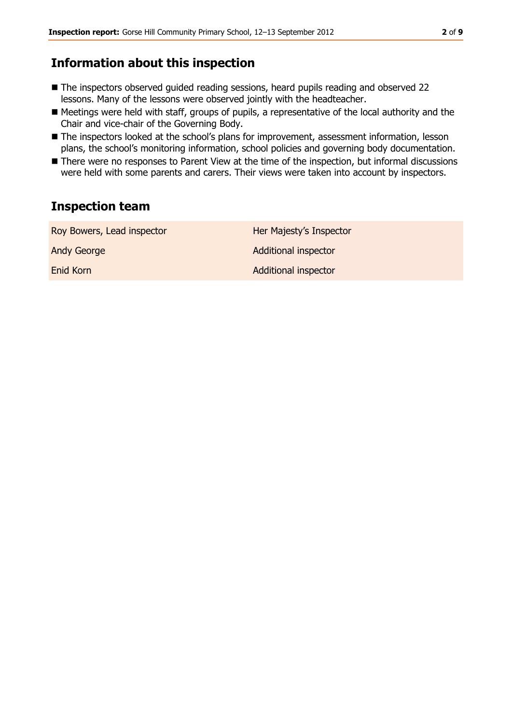### **Information about this inspection**

- The inspectors observed guided reading sessions, heard pupils reading and observed 22 lessons. Many of the lessons were observed jointly with the headteacher.
- Meetings were held with staff, groups of pupils, a representative of the local authority and the Chair and vice-chair of the Governing Body.
- The inspectors looked at the school's plans for improvement, assessment information, lesson plans, the school's monitoring information, school policies and governing body documentation.
- There were no responses to Parent View at the time of the inspection, but informal discussions were held with some parents and carers. Their views were taken into account by inspectors.

## **Inspection team**

| Roy Bowers, Lead inspector | Her Majesty's Inspector     |
|----------------------------|-----------------------------|
| Andy George                | <b>Additional inspector</b> |
| Enid Korn                  | <b>Additional inspector</b> |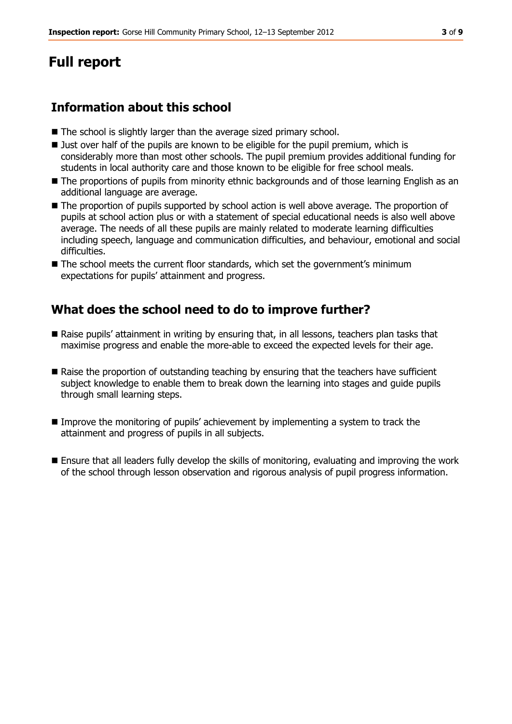## **Full report**

## **Information about this school**

- The school is slightly larger than the average sized primary school.
- **Just over half of the pupils are known to be eligible for the pupil premium, which is** considerably more than most other schools. The pupil premium provides additional funding for students in local authority care and those known to be eligible for free school meals.
- The proportions of pupils from minority ethnic backgrounds and of those learning English as an additional language are average.
- The proportion of pupils supported by school action is well above average. The proportion of pupils at school action plus or with a statement of special educational needs is also well above average. The needs of all these pupils are mainly related to moderate learning difficulties including speech, language and communication difficulties, and behaviour, emotional and social difficulties.
- The school meets the current floor standards, which set the government's minimum expectations for pupils' attainment and progress.

## **What does the school need to do to improve further?**

- Raise pupils' attainment in writing by ensuring that, in all lessons, teachers plan tasks that maximise progress and enable the more-able to exceed the expected levels for their age.
- Raise the proportion of outstanding teaching by ensuring that the teachers have sufficient subject knowledge to enable them to break down the learning into stages and guide pupils through small learning steps.
- Improve the monitoring of pupils' achievement by implementing a system to track the attainment and progress of pupils in all subjects.
- Ensure that all leaders fully develop the skills of monitoring, evaluating and improving the work of the school through lesson observation and rigorous analysis of pupil progress information.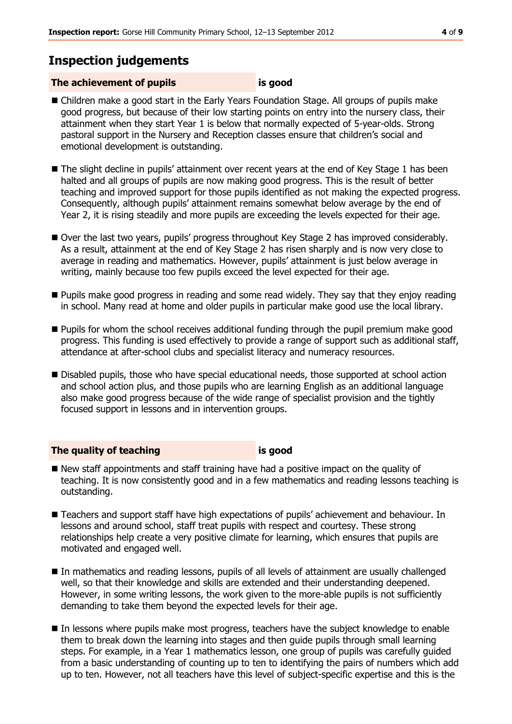## **Inspection judgements**

#### **The achievement of pupils is good**

- Children make a good start in the Early Years Foundation Stage. All groups of pupils make good progress, but because of their low starting points on entry into the nursery class, their attainment when they start Year 1 is below that normally expected of 5-year-olds. Strong pastoral support in the Nursery and Reception classes ensure that children's social and emotional development is outstanding.
- The slight decline in pupils' attainment over recent years at the end of Key Stage 1 has been halted and all groups of pupils are now making good progress. This is the result of better teaching and improved support for those pupils identified as not making the expected progress. Consequently, although pupils' attainment remains somewhat below average by the end of Year 2, it is rising steadily and more pupils are exceeding the levels expected for their age.
- Over the last two years, pupils' progress throughout Key Stage 2 has improved considerably. As a result, attainment at the end of Key Stage 2 has risen sharply and is now very close to average in reading and mathematics. However, pupils' attainment is just below average in writing, mainly because too few pupils exceed the level expected for their age.
- **Pupils make good progress in reading and some read widely. They say that they enjoy reading** in school. Many read at home and older pupils in particular make good use the local library.
- **Pupils for whom the school receives additional funding through the pupil premium make good** progress. This funding is used effectively to provide a range of support such as additional staff, attendance at after-school clubs and specialist literacy and numeracy resources.
- Disabled pupils, those who have special educational needs, those supported at school action and school action plus, and those pupils who are learning English as an additional language also make good progress because of the wide range of specialist provision and the tightly focused support in lessons and in intervention groups.

#### **The quality of teaching is good**

- New staff appointments and staff training have had a positive impact on the quality of teaching. It is now consistently good and in a few mathematics and reading lessons teaching is outstanding.
- Teachers and support staff have high expectations of pupils' achievement and behaviour. In lessons and around school, staff treat pupils with respect and courtesy. These strong relationships help create a very positive climate for learning, which ensures that pupils are motivated and engaged well.
- In mathematics and reading lessons, pupils of all levels of attainment are usually challenged well, so that their knowledge and skills are extended and their understanding deepened. However, in some writing lessons, the work given to the more-able pupils is not sufficiently demanding to take them beyond the expected levels for their age.
- In lessons where pupils make most progress, teachers have the subject knowledge to enable them to break down the learning into stages and then guide pupils through small learning steps. For example, in a Year 1 mathematics lesson, one group of pupils was carefully guided from a basic understanding of counting up to ten to identifying the pairs of numbers which add up to ten. However, not all teachers have this level of subject-specific expertise and this is the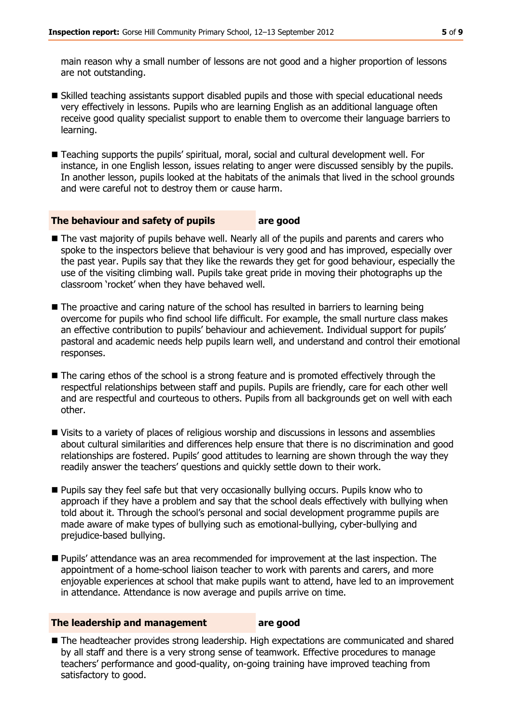main reason why a small number of lessons are not good and a higher proportion of lessons are not outstanding.

- Skilled teaching assistants support disabled pupils and those with special educational needs very effectively in lessons. Pupils who are learning English as an additional language often receive good quality specialist support to enable them to overcome their language barriers to learning.
- Teaching supports the pupils' spiritual, moral, social and cultural development well. For instance, in one English lesson, issues relating to anger were discussed sensibly by the pupils. In another lesson, pupils looked at the habitats of the animals that lived in the school grounds and were careful not to destroy them or cause harm.

#### **The behaviour and safety of pupils are good**

- The vast majority of pupils behave well. Nearly all of the pupils and parents and carers who spoke to the inspectors believe that behaviour is very good and has improved, especially over the past year. Pupils say that they like the rewards they get for good behaviour, especially the use of the visiting climbing wall. Pupils take great pride in moving their photographs up the classroom 'rocket' when they have behaved well.
- The proactive and caring nature of the school has resulted in barriers to learning being overcome for pupils who find school life difficult. For example, the small nurture class makes an effective contribution to pupils' behaviour and achievement. Individual support for pupils' pastoral and academic needs help pupils learn well, and understand and control their emotional responses.
- The caring ethos of the school is a strong feature and is promoted effectively through the respectful relationships between staff and pupils. Pupils are friendly, care for each other well and are respectful and courteous to others. Pupils from all backgrounds get on well with each other.
- Visits to a variety of places of religious worship and discussions in lessons and assemblies about cultural similarities and differences help ensure that there is no discrimination and good relationships are fostered. Pupils' good attitudes to learning are shown through the way they readily answer the teachers' questions and quickly settle down to their work.
- **Pupils say they feel safe but that very occasionally bullying occurs. Pupils know who to** approach if they have a problem and say that the school deals effectively with bullying when told about it. Through the school's personal and social development programme pupils are made aware of make types of bullying such as emotional-bullying, cyber-bullying and prejudice-based bullying.
- Pupils' attendance was an area recommended for improvement at the last inspection. The appointment of a home-school liaison teacher to work with parents and carers, and more enjoyable experiences at school that make pupils want to attend, have led to an improvement in attendance. Attendance is now average and pupils arrive on time.

#### **The leadership and management are good**

■ The headteacher provides strong leadership. High expectations are communicated and shared by all staff and there is a very strong sense of teamwork. Effective procedures to manage teachers' performance and good-quality, on-going training have improved teaching from satisfactory to good.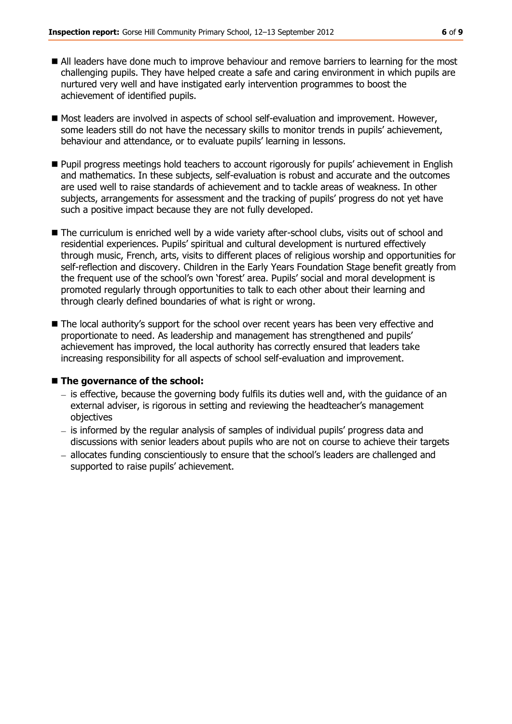- All leaders have done much to improve behaviour and remove barriers to learning for the most challenging pupils. They have helped create a safe and caring environment in which pupils are nurtured very well and have instigated early intervention programmes to boost the achievement of identified pupils.
- $\blacksquare$  Most leaders are involved in aspects of school self-evaluation and improvement. However, some leaders still do not have the necessary skills to monitor trends in pupils' achievement, behaviour and attendance, or to evaluate pupils' learning in lessons.
- **Pupil progress meetings hold teachers to account rigorously for pupils' achievement in English** and mathematics. In these subjects, self-evaluation is robust and accurate and the outcomes are used well to raise standards of achievement and to tackle areas of weakness. In other subjects, arrangements for assessment and the tracking of pupils' progress do not yet have such a positive impact because they are not fully developed.
- The curriculum is enriched well by a wide variety after-school clubs, visits out of school and residential experiences. Pupils' spiritual and cultural development is nurtured effectively through music, French, arts, visits to different places of religious worship and opportunities for self-reflection and discovery. Children in the Early Years Foundation Stage benefit greatly from the frequent use of the school's own 'forest' area. Pupils' social and moral development is promoted regularly through opportunities to talk to each other about their learning and through clearly defined boundaries of what is right or wrong.
- The local authority's support for the school over recent years has been very effective and proportionate to need. As leadership and management has strengthened and pupils' achievement has improved, the local authority has correctly ensured that leaders take increasing responsibility for all aspects of school self-evaluation and improvement.

#### ■ The governance of the school:

- $-$  is effective, because the governing body fulfils its duties well and, with the guidance of an external adviser, is rigorous in setting and reviewing the headteacher's management objectives
- $i$  is informed by the regular analysis of samples of individual pupils' progress data and discussions with senior leaders about pupils who are not on course to achieve their targets
- allocates funding conscientiously to ensure that the school's leaders are challenged and supported to raise pupils' achievement.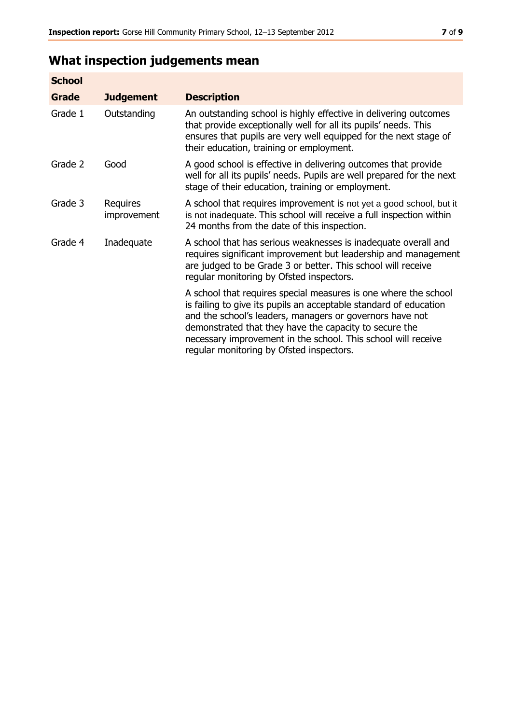## **What inspection judgements mean**

| <b>School</b> |                         |                                                                                                                                                                                                                                                                                                                                                                         |
|---------------|-------------------------|-------------------------------------------------------------------------------------------------------------------------------------------------------------------------------------------------------------------------------------------------------------------------------------------------------------------------------------------------------------------------|
| Grade         | <b>Judgement</b>        | <b>Description</b>                                                                                                                                                                                                                                                                                                                                                      |
| Grade 1       | Outstanding             | An outstanding school is highly effective in delivering outcomes<br>that provide exceptionally well for all its pupils' needs. This<br>ensures that pupils are very well equipped for the next stage of<br>their education, training or employment.                                                                                                                     |
| Grade 2       | Good                    | A good school is effective in delivering outcomes that provide<br>well for all its pupils' needs. Pupils are well prepared for the next<br>stage of their education, training or employment.                                                                                                                                                                            |
| Grade 3       | Requires<br>improvement | A school that requires improvement is not yet a good school, but it<br>is not inadequate. This school will receive a full inspection within<br>24 months from the date of this inspection.                                                                                                                                                                              |
| Grade 4       | Inadequate              | A school that has serious weaknesses is inadequate overall and<br>requires significant improvement but leadership and management<br>are judged to be Grade 3 or better. This school will receive<br>regular monitoring by Ofsted inspectors.                                                                                                                            |
|               |                         | A school that requires special measures is one where the school<br>is failing to give its pupils an acceptable standard of education<br>and the school's leaders, managers or governors have not<br>demonstrated that they have the capacity to secure the<br>necessary improvement in the school. This school will receive<br>regular monitoring by Ofsted inspectors. |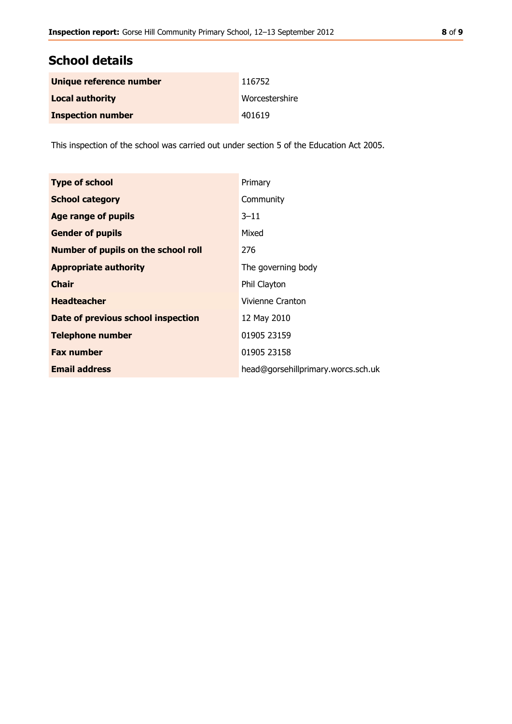## **School details**

| Unique reference number  | 116752         |
|--------------------------|----------------|
| <b>Local authority</b>   | Worcestershire |
| <b>Inspection number</b> | 401619         |

This inspection of the school was carried out under section 5 of the Education Act 2005.

| <b>Type of school</b>                      | Primary                            |
|--------------------------------------------|------------------------------------|
| <b>School category</b>                     | Community                          |
| <b>Age range of pupils</b>                 | $3 - 11$                           |
| <b>Gender of pupils</b>                    | Mixed                              |
| <b>Number of pupils on the school roll</b> | 276                                |
| <b>Appropriate authority</b>               | The governing body                 |
| <b>Chair</b>                               | Phil Clayton                       |
| <b>Headteacher</b>                         | Vivienne Cranton                   |
| Date of previous school inspection         | 12 May 2010                        |
| <b>Telephone number</b>                    | 01905 23159                        |
| <b>Fax number</b>                          | 01905 23158                        |
| <b>Email address</b>                       | head@gorsehillprimary.worcs.sch.uk |